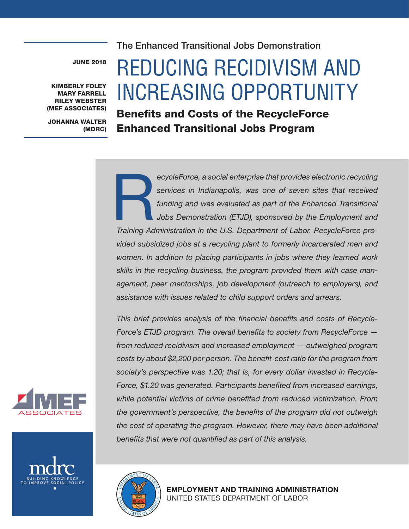The Enhanced Transitional Jobs Demonstration

JUNE 2018

KIMBERLY FOLEY MARY FARRELL RILEY WEBSTER (MEF ASSOCIATES)

JOHANNA WALTER (MDRC)

# REDUCING RECIDIVISM AND INCREASING OPPORTUNITY

# Benefits and Costs of the RecycleForce Enhanced Transitional Jobs Program

ecycleForce, a social enterprise that provides electronic recycling<br>services in Indianapolis, was one of seven sites that received<br>funding and was evaluated as part of the Enhanced Transitional<br>Jobs Demonstration (ETJD), s *services in Indianapolis, was one of seven sites that received funding and was evaluated as part of the Enhanced Transitional Jobs Demonstration (ETJD), sponsored by the Employment and Training Administration in the U.S. Department of Labor. RecycleForce provided subsidized jobs at a recycling plant to formerly incarcerated men and women. In addition to placing participants in jobs where they learned work skills in the recycling business, the program provided them with case management, peer mentorships, job development (outreach to employers), and assistance with issues related to child support orders and arrears.* 

*This brief provides analysis of the financial benefits and costs of Recycle-Force's ETJD program. The overall benefits to society from RecycleForce from reduced recidivism and increased employment — outweighed program costs by about \$2,200 per person. The benefit-cost ratio for the program from society's perspective was 1.20; that is, for every dollar invested in Recycle-Force, \$1.20 was generated. Participants benefited from increased earnings, while potential victims of crime benefited from reduced victimization. From the government's perspective, the benefits of the program did not outweigh the cost of operating the program. However, there may have been additional benefits that were not quantified as part of this analysis.*





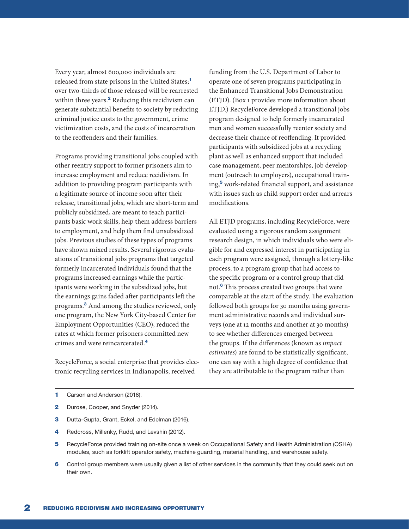Every year, almost 600,000 individuals are released from state prisons in the United States;<sup>1</sup> over two-thirds of those released will be rearrested within three years.<sup>2</sup> Reducing this recidivism can generate substantial benefits to society by reducing criminal justice costs to the government, crime victimization costs, and the costs of incarceration to the reoffenders and their families.

Programs providing transitional jobs coupled with other reentry support to former prisoners aim to increase employment and reduce recidivism. In addition to providing program participants with a legitimate source of income soon after their release, transitional jobs, which are short-term and publicly subsidized, are meant to teach participants basic work skills, help them address barriers to employment, and help them find unsubsidized jobs. Previous studies of these types of programs have shown mixed results. Several rigorous evaluations of transitional jobs programs that targeted formerly incarcerated individuals found that the programs increased earnings while the participants were working in the subsidized jobs, but the earnings gains faded after participants left the programs.<sup>3</sup> And among the studies reviewed, only one program, the New York City-based Center for Employment Opportunities (CEO), reduced the rates at which former prisoners committed new crimes and were reincarcerated.<sup>4</sup>

RecycleForce, a social enterprise that provides electronic recycling services in Indianapolis, received

funding from the U.S. Department of Labor to operate one of seven programs participating in the Enhanced Transitional Jobs Demonstration (ETJD). (Box 1 provides more information about ETJD.) RecycleForce developed a transitional jobs program designed to help formerly incarcerated men and women successfully reenter society and decrease their chance of reoffending. It provided participants with subsidized jobs at a recycling plant as well as enhanced support that included case management, peer mentorships, job development (outreach to employers), occupational training,<sup>5</sup> work-related financial support, and assistance with issues such as child support order and arrears modifications.

All ETJD programs, including RecycleForce, were evaluated using a rigorous random assignment research design, in which individuals who were eligible for and expressed interest in participating in each program were assigned, through a lottery-like process, to a program group that had access to the specific program or a control group that did not.<sup>6</sup> This process created two groups that were comparable at the start of the study. The evaluation followed both groups for 30 months using government administrative records and individual surveys (one at 12 months and another at 30 months) to see whether differences emerged between the groups. If the differences (known as *impact estimates*) are found to be statistically significant, one can say with a high degree of confidence that they are attributable to the program rather than

- 1 Carson and Anderson (2016).
- 2 Durose, Cooper, and Snyder (2014).
- 3 Dutta-Gupta, Grant, Eckel, and Edelman (2016).
- 4 Redcross, Millenky, Rudd, and Levshin (2012).
- 5 RecycleForce provided training on-site once a week on Occupational Safety and Health Administration (OSHA) modules, such as forklift operator safety, machine guarding, material handling, and warehouse safety.
- 6 Control group members were usually given a list of other services in the community that they could seek out on their own.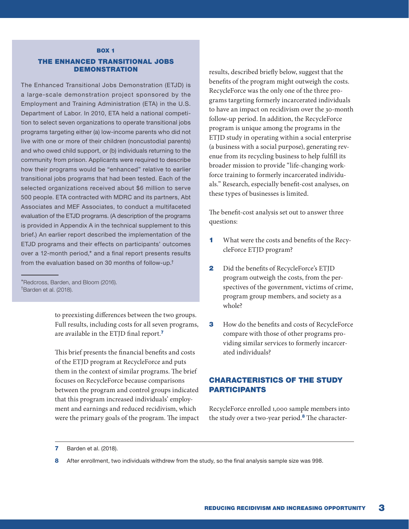#### **BOX 1**

#### THE ENHANCED TRANSITIONAL JOBS DEMONSTRATION

The Enhanced Transitional Jobs Demonstration (ETJD) is a large-scale demonstration project sponsored by the Employment and Training Administration (ETA) in the U.S. Department of Labor. In 2010, ETA held a national competition to select seven organizations to operate transitional jobs programs targeting either (a) low-income parents who did not live with one or more of their children (noncustodial parents) and who owed child support, or (b) individuals returning to the community from prison. Applicants were required to describe how their programs would be "enhanced" relative to earlier transitional jobs programs that had been tested. Each of the selected organizations received about \$6 million to serve 500 people. ETA contracted with MDRC and its partners, Abt Associates and MEF Associates, to conduct a multifaceted evaluation of the ETJD programs. (A description of the programs is provided in Appendix A in the technical supplement to this brief.) An earlier report described the implementation of the ETJD programs and their effects on participants' outcomes over a 12-month period,\* and a final report presents results from the evaluation based on 30 months of follow-up.†

to preexisting differences between the two groups. Full results, including costs for all seven programs, are available in the ETJD final report.<sup>7</sup>

This brief presents the financial benefits and costs of the ETJD program at RecycleForce and puts them in the context of similar programs. The brief focuses on RecycleForce because comparisons between the program and control groups indicated that this program increased individuals' employment and earnings and reduced recidivism, which were the primary goals of the program. The impact results, described briefly below, suggest that the benefits of the program might outweigh the costs. RecycleForce was the only one of the three programs targeting formerly incarcerated individuals to have an impact on recidivism over the 30-month follow-up period. In addition, the RecycleForce program is unique among the programs in the ETJD study in operating within a social enterprise (a business with a social purpose), generating revenue from its recycling business to help fulfill its broader mission to provide "life-changing workforce training to formerly incarcerated individuals." Research, especially benefit-cost analyses, on these types of businesses is limited.

The benefit-cost analysis set out to answer three questions:

- 1 What were the costs and benefits of the RecycleForce ETJD program?
- 2 Did the benefits of RecycleForce's ETJD program outweigh the costs, from the perspectives of the government, victims of crime, program group members, and society as a whole?
- **3** How do the benefits and costs of RecycleForce compare with those of other programs providing similar services to formerly incarcerated individuals?

# CHARACTERISTICS OF THE STUDY PARTICIPANTS

RecycleForce enrolled 1,000 sample members into the study over a two-year period.<sup>8</sup> The character-

<sup>\*</sup>Redcross, Barden, and Bloom (2016). † Barden et al. (2018).

**<sup>7</sup>** Barden et al. (2018).

<sup>8</sup> After enrollment, two individuals withdrew from the study, so the final analysis sample size was 998.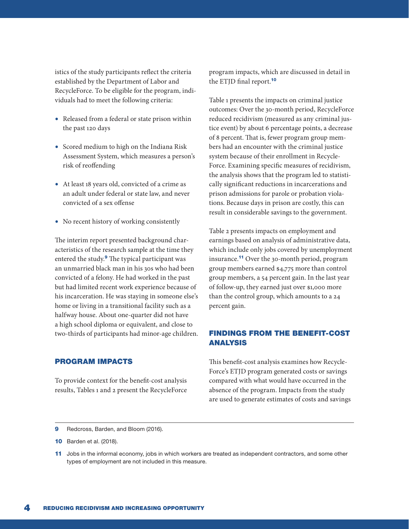istics of the study participants reflect the criteria established by the Department of Labor and RecycleForce. To be eligible for the program, individuals had to meet the following criteria:

- Released from a federal or state prison within the past 120 days
- Scored medium to high on the Indiana Risk Assessment System, which measures a person's risk of reoffending
- At least 18 years old, convicted of a crime as an adult under federal or state law, and never convicted of a sex offense
- No recent history of working consistently

The interim report presented background characteristics of the research sample at the time they entered the study.<sup>9</sup> The typical participant was an unmarried black man in his 30s who had been convicted of a felony. He had worked in the past but had limited recent work experience because of his incarceration. He was staying in someone else's home or living in a transitional facility such as a halfway house. About one-quarter did not have a high school diploma or equivalent, and close to two-thirds of participants had minor-age children.

#### PROGRAM IMPACTS

To provide context for the benefit-cost analysis results, Tables 1 and 2 present the RecycleForce program impacts, which are discussed in detail in the ETJD final report.<sup>10</sup>

Table 1 presents the impacts on criminal justice outcomes: Over the 30-month period, RecycleForce reduced recidivism (measured as any criminal justice event) by about 6 percentage points, a decrease of 8 percent. That is, fewer program group members had an encounter with the criminal justice system because of their enrollment in Recycle-Force. Examining specific measures of recidivism, the analysis shows that the program led to statistically significant reductions in incarcerations and prison admissions for parole or probation violations. Because days in prison are costly, this can result in considerable savings to the government.

Table 2 presents impacts on employment and earnings based on analysis of administrative data, which include only jobs covered by unemployment insurance.<sup>11</sup> Over the 30-month period, program group members earned \$4,775 more than control group members, a 54 percent gain. In the last year of follow-up, they earned just over \$1,000 more than the control group, which amounts to a 24 percent gain.

# FINDINGS FROM THE BENEFIT-COST ANALYSIS

This benefit-cost analysis examines how Recycle-Force's ETJD program generated costs or savings compared with what would have occurred in the absence of the program. Impacts from the study are used to generate estimates of costs and savings

<sup>9</sup> Redcross, Barden, and Bloom (2016).

**<sup>10</sup>** Barden et al. (2018).

<sup>11</sup> Jobs in the informal economy, jobs in which workers are treated as independent contractors, and some other types of employment are not included in this measure.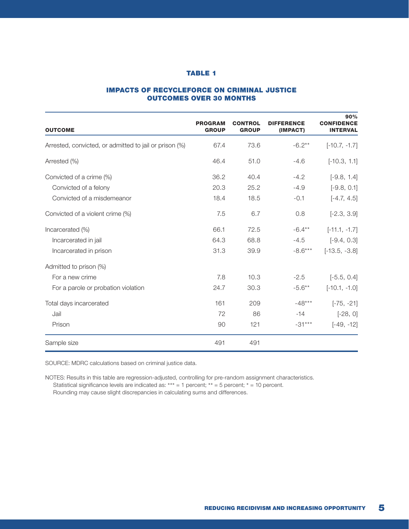#### IMPACTS OF RECYCLEFORCE ON CRIMINAL JUSTICE OUTCOMES OVER 30 MONTHS

| <b>OUTCOME</b>                                         | <b>PROGRAM</b><br><b>GROUP</b> | <b>CONTROL</b><br><b>GROUP</b> | <b>DIFFERENCE</b><br>(IMPACT) | 90%<br><b>CONFIDENCE</b><br><b>INTERVAL</b> |
|--------------------------------------------------------|--------------------------------|--------------------------------|-------------------------------|---------------------------------------------|
| Arrested, convicted, or admitted to jail or prison (%) | 67.4                           | 73.6                           | $-6.2**$                      | $[-10.7, -1.7]$                             |
| Arrested (%)                                           | 46.4                           | 51.0                           | $-4.6$                        | $[-10.3, 1.1]$                              |
| Convicted of a crime (%)                               | 36.2                           | 40.4                           | $-4.2$                        | $[-9.8, 1.4]$                               |
| Convicted of a felony                                  | 20.3                           | 25.2                           | $-4.9$                        | $[-9.8, 0.1]$                               |
| Convicted of a misdemeanor                             | 18.4                           | 18.5                           | $-0.1$                        | $[-4.7, 4.5]$                               |
| Convicted of a violent crime (%)                       | 7.5                            | 6.7                            | 0.8                           | $[-2.3, 3.9]$                               |
| Incarcerated (%)                                       | 66.1                           | 72.5                           | $-6.4***$                     | $[-11.1, -1.7]$                             |
| Incarcerated in jail                                   | 64.3                           | 68.8                           | $-4.5$                        | $[-9.4, 0.3]$                               |
| Incarcerated in prison                                 | 31.3                           | 39.9                           | $-8.6***$                     | $[-13.5, -3.8]$                             |
| Admitted to prison (%)                                 |                                |                                |                               |                                             |
| For a new crime                                        | 7.8                            | 10.3                           | $-2.5$                        | $[-5.5, 0.4]$                               |
| For a parole or probation violation                    | 24.7                           | 30.3                           | $-5.6**$                      | $[-10.1, -1.0]$                             |
| Total days incarcerated                                | 161                            | 209                            | $-48***$                      | $[-75, -21]$                                |
| Jail                                                   | 72                             | 86                             | $-14$                         | $[-28, 0]$                                  |
| Prison                                                 | 90                             | 121                            | $-31***$                      | $[-49, -12]$                                |
| Sample size                                            | 491                            | 491                            |                               |                                             |

SOURCE: MDRC calculations based on criminal justice data.

NOTES: Results in this table are regression-adjusted, controlling for pre-random assignment characteristics. Statistical significance levels are indicated as: \*\*\* = 1 percent; \*\* = 5 percent; \* = 10 percent. Rounding may cause slight discrepancies in calculating sums and differences.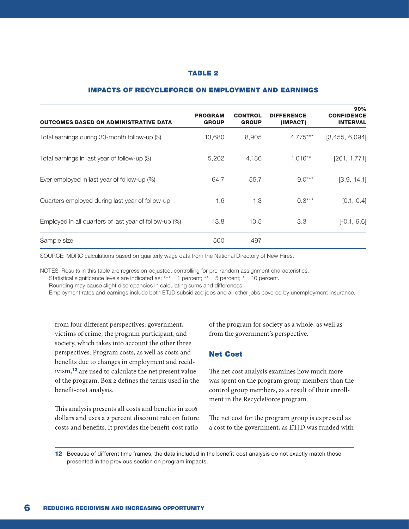#### IMPACTS OF RECYCLEFORCE ON EMPLOYMENT AND EARNINGS

| <b>OUTCOMES BASED ON ADMINISTRATIVE DATA</b>           | <b>PROGRAM</b><br><b>GROUP</b> | <b>CONTROL</b><br><b>GROUP</b> | <b>DIFFERENCE</b><br>(IMPACT) | 90%<br><b>CONFIDENCE</b><br><b>INTERVAL</b> |
|--------------------------------------------------------|--------------------------------|--------------------------------|-------------------------------|---------------------------------------------|
| Total earnings during 30-month follow-up (\$)          | 13,680                         | 8,905                          | $4.775***$                    | [3,455, 6,094]                              |
| Total earnings in last year of follow-up $(\$)$        | 5,202                          | 4,186                          | $1,016**$                     | [261, 1, 771]                               |
| Ever employed in last year of follow-up (%)            | 64.7                           | 55.7                           | $9.0***$                      | [3.9, 14.1]                                 |
| Quarters employed during last year of follow-up        | 1.6                            | 1.3                            | $0.3***$                      | [0.1, 0.4]                                  |
| Employed in all quarters of last year of follow-up (%) | 13.8                           | 10.5                           | 3.3                           | $[-0.1, 6.6]$                               |
| Sample size                                            | 500                            | 497                            |                               |                                             |

SOURCE: MDRC calculations based on quarterly wage data from the National Directory of New Hires.

NOTES: Results in this table are regression-adjusted, controlling for pre-random assignment characteristics.

Statistical significance levels are indicated as: \*\*\* = 1 percent; \*\* = 5 percent; \* = 10 percent.

Rounding may cause slight discrepancies in calculating sums and differences.

Employment rates and earnings include both ETJD subsidized jobs and all other jobs covered by unemployment insurance.

from four different perspectives: government, victims of crime, the program participant, and society, which takes into account the other three perspectives. Program costs, as well as costs and benefits due to changes in employment and recidivism,<sup>12</sup> are used to calculate the net present value of the program. Box 2 defines the terms used in the benefit-cost analysis.

This analysis presents all costs and benefits in 2016 dollars and uses a 2 percent discount rate on future costs and benefits. It provides the benefit-cost ratio

of the program for society as a whole, as well as from the government's perspective.

#### Net Cost

The net cost analysis examines how much more was spent on the program group members than the control group members, as a result of their enrollment in the RecycleForce program.

The net cost for the program group is expressed as a cost to the government, as ETJD was funded with

12 Because of different time frames, the data included in the benefit-cost analysis do not exactly match those presented in the previous section on program impacts.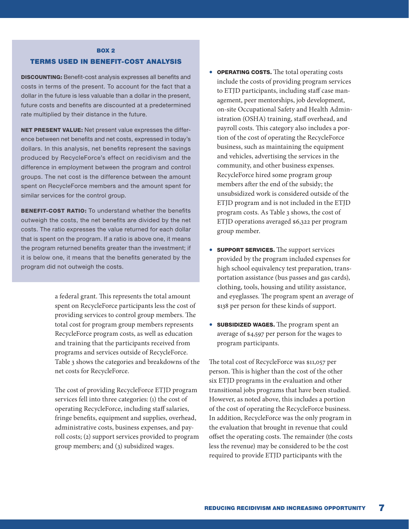#### **BOX 2**

#### TERMS USED IN BENEFIT-COST ANALYSIS

DISCOUNTING: Benefit-cost analysis expresses all benefits and costs in terms of the present. To account for the fact that a dollar in the future is less valuable than a dollar in the present, future costs and benefits are discounted at a predetermined rate multiplied by their distance in the future.

NET PRESENT VALUE: Net present value expresses the difference between net benefits and net costs, expressed in today's dollars. In this analysis, net benefits represent the savings produced by RecycleForce's effect on recidivism and the difference in employment between the program and control groups. The net cost is the difference between the amount spent on RecycleForce members and the amount spent for similar services for the control group.

**BENEFIT-COST RATIO:** To understand whether the benefits outweigh the costs, the net benefits are divided by the net costs. The ratio expresses the value returned for each dollar that is spent on the program. If a ratio is above one, it means the program returned benefits greater than the investment; if it is below one, it means that the benefits generated by the program did not outweigh the costs.

> a federal grant. This represents the total amount spent on RecycleForce participants less the cost of providing services to control group members. The total cost for program group members represents RecycleForce program costs, as well as education and training that the participants received from programs and services outside of RecycleForce. Table 3 shows the categories and breakdowns of the net costs for RecycleForce.

> The cost of providing RecycleForce ETJD program services fell into three categories: (1) the cost of operating RecycleForce, including staff salaries, fringe benefits, equipment and supplies, overhead, administrative costs, business expenses, and payroll costs; (2) support services provided to program group members; and (3) subsidized wages.

- OPERATING COSTS. The total operating costs include the costs of providing program services to ETJD participants, including staff case management, peer mentorships, job development, on-site Occupational Safety and Health Administration (OSHA) training, staff overhead, and payroll costs. This category also includes a portion of the cost of operating the RecycleForce business, such as maintaining the equipment and vehicles, advertising the services in the community, and other business expenses. RecycleForce hired some program group members after the end of the subsidy; the unsubsidized work is considered outside of the ETJD program and is not included in the ETJD program costs. As Table 3 shows, the cost of ETJD operations averaged \$6,322 per program group member.
- SUPPORT SERVICES. The support services provided by the program included expenses for high school equivalency test preparation, transportation assistance (bus passes and gas cards), clothing, tools, housing and utility assistance, and eyeglasses. The program spent an average of \$138 per person for these kinds of support.
- SUBSIDIZED WAGES. The program spent an average of \$4,597 per person for the wages to program participants.

The total cost of RecycleForce was \$11,057 per person. This is higher than the cost of the other six ETJD programs in the evaluation and other transitional jobs programs that have been studied. However, as noted above, this includes a portion of the cost of operating the RecycleForce business. In addition, RecycleForce was the only program in the evaluation that brought in revenue that could offset the operating costs. The remainder (the costs less the revenue) may be considered to be the cost required to provide ETJD participants with the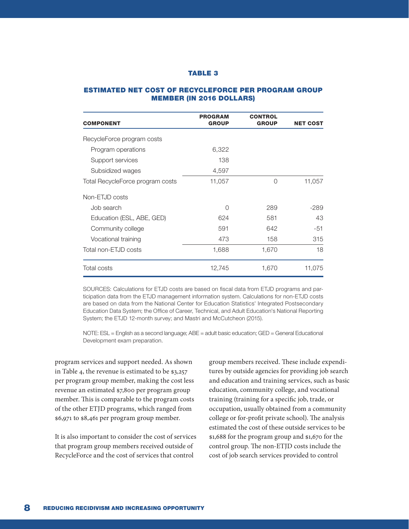#### ESTIMATED NET COST OF RECYCLEFORCE PER PROGRAM GROUP MEMBER (IN 2016 DOLLARS)

| <b>COMPONENT</b>                 | <b>PROGRAM</b><br><b>GROUP</b> | <b>CONTROL</b><br><b>GROUP</b> | <b>NET COST</b> |
|----------------------------------|--------------------------------|--------------------------------|-----------------|
| RecycleForce program costs       |                                |                                |                 |
| Program operations               | 6,322                          |                                |                 |
| Support services                 | 138                            |                                |                 |
| Subsidized wages                 | 4,597                          |                                |                 |
| Total RecycleForce program costs | 11,057                         | O                              | 11,057          |
| Non-ETJD costs                   |                                |                                |                 |
| Job search                       | O                              | 289                            | -289            |
| Education (ESL, ABE, GED)        | 624                            | 581                            | 43              |
| Community college                | 591                            | 642                            | -51             |
| Vocational training              | 473                            | 158                            | 315             |
| Total non-ETJD costs             | 1,688                          | 1,670                          | 18              |
| <b>Total costs</b>               | 12,745                         | 1,670                          | 11,075          |

SOURCES: Calculations for ETJD costs are based on fiscal data from ETJD programs and participation data from the ETJD management information system. Calculations for non-ETJD costs are based on data from the National Center for Education Statistics' Integrated Postsecondary Education Data System; the Office of Career, Technical, and Adult Education's National Reporting System; the ETJD 12-month survey; and Mastri and McCutcheon (2015).

NOTE: ESL = English as a second language; ABE = adult basic education; GED = General Educational Development exam preparation.

program services and support needed. As shown in Table 4, the revenue is estimated to be \$3,257 per program group member, making the cost less revenue an estimated \$7,800 per program group member. This is comparable to the program costs of the other ETJD programs, which ranged from \$6,971 to \$8,461 per program group member.

It is also important to consider the cost of services that program group members received outside of RecycleForce and the cost of services that control

group members received. These include expenditures by outside agencies for providing job search and education and training services, such as basic education, community college, and vocational training (training for a specific job, trade, or occupation, usually obtained from a community college or for-profit private school). The analysis estimated the cost of these outside services to be \$1,688 for the program group and \$1,670 for the control group. The non-ETJD costs include the cost of job search services provided to control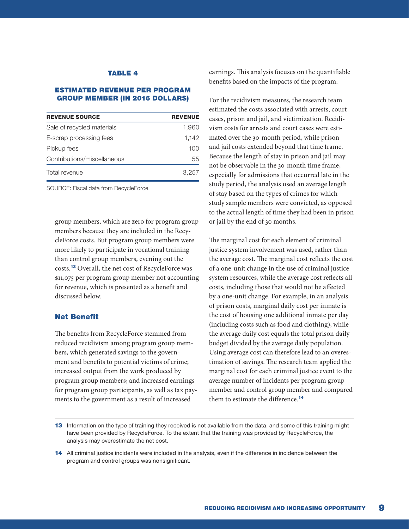#### ESTIMATED REVENUE PER PROGRAM GROUP MEMBER (IN 2016 DOLLARS)

| <b>REVENUE SOURCE</b>       | <b>REVENUE</b> |
|-----------------------------|----------------|
| Sale of recycled materials  | 1.960          |
| E-scrap processing fees     | 1.142          |
| Pickup fees                 | 100            |
| Contributions/miscellaneous | 55             |
| Total revenue               | 3.257          |

SOURCE: Fiscal data from RecycleForce.

group members, which are zero for program group members because they are included in the RecycleForce costs. But program group members were more likely to participate in vocational training than control group members, evening out the costs.<sup>13</sup> Overall, the net cost of RecycleForce was \$11,075 per program group member not accounting for revenue, which is presented as a benefit and discussed below.

#### Net Benefit

The benefits from RecycleForce stemmed from reduced recidivism among program group members, which generated savings to the government and benefits to potential victims of crime; increased output from the work produced by program group members; and increased earnings for program group participants, as well as tax payments to the government as a result of increased

earnings. This analysis focuses on the quantifiable benefits based on the impacts of the program.

For the recidivism measures, the research team estimated the costs associated with arrests, court cases, prison and jail, and victimization. Recidivism costs for arrests and court cases were estimated over the 30-month period, while prison and jail costs extended beyond that time frame. Because the length of stay in prison and jail may not be observable in the 30-month time frame, especially for admissions that occurred late in the study period, the analysis used an average length of stay based on the types of crimes for which study sample members were convicted, as opposed to the actual length of time they had been in prison or jail by the end of 30 months.

The marginal cost for each element of criminal justice system involvement was used, rather than the average cost. The marginal cost reflects the cost of a one-unit change in the use of criminal justice system resources, while the average cost reflects all costs, including those that would not be affected by a one-unit change. For example, in an analysis of prison costs, marginal daily cost per inmate is the cost of housing one additional inmate per day (including costs such as food and clothing), while the average daily cost equals the total prison daily budget divided by the average daily population. Using average cost can therefore lead to an overestimation of savings. The research team applied the marginal cost for each criminal justice event to the average number of incidents per program group member and control group member and compared them to estimate the difference.14

<sup>13</sup> Information on the type of training they received is not available from the data, and some of this training might have been provided by RecycleForce. To the extent that the training was provided by RecycleForce, the analysis may overestimate the net cost.

<sup>14</sup> All criminal justice incidents were included in the analysis, even if the difference in incidence between the program and control groups was nonsignificant.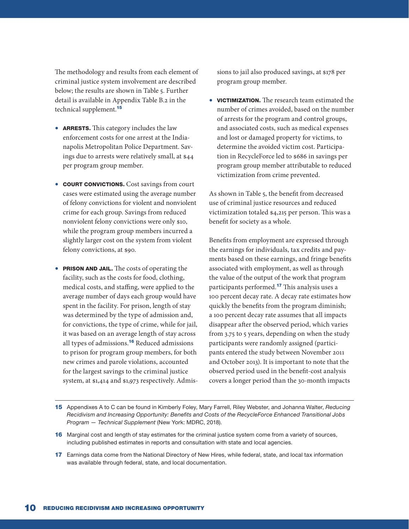The methodology and results from each element of criminal justice system involvement are described below; the results are shown in Table 5. Further detail is available in Appendix Table B.2 in the technical supplement.<sup>15</sup>

- ARRESTS. This category includes the law enforcement costs for one arrest at the Indianapolis Metropolitan Police Department. Savings due to arrests were relatively small, at \$44 per program group member.
- COURT CONVICTIONS. Cost savings from court cases were estimated using the average number of felony convictions for violent and nonviolent crime for each group. Savings from reduced nonviolent felony convictions were only \$10, while the program group members incurred a slightly larger cost on the system from violent felony convictions, at \$90.
- **PRISON AND JAIL.** The costs of operating the facility, such as the costs for food, clothing, medical costs, and staffing, were applied to the average number of days each group would have spent in the facility. For prison, length of stay was determined by the type of admission and, for convictions, the type of crime, while for jail, it was based on an average length of stay across all types of admissions.<sup>16</sup> Reduced admissions to prison for program group members, for both new crimes and parole violations, accounted for the largest savings to the criminal justice system, at \$1,414 and \$1,973 respectively. Admis-

sions to jail also produced savings, at \$178 per program group member.

• VICTIMIZATION. The research team estimated the number of crimes avoided, based on the number of arrests for the program and control groups, and associated costs, such as medical expenses and lost or damaged property for victims, to determine the avoided victim cost. Participation in RecycleForce led to \$686 in savings per program group member attributable to reduced victimization from crime prevented.

As shown in Table 5, the benefit from decreased use of criminal justice resources and reduced victimization totaled \$4,215 per person. This was a benefit for society as a whole.

Benefits from employment are expressed through the earnings for individuals, tax credits and payments based on these earnings, and fringe benefits associated with employment, as well as through the value of the output of the work that program participants performed.<sup>17</sup> This analysis uses a 100 percent decay rate. A decay rate estimates how quickly the benefits from the program diminish; a 100 percent decay rate assumes that all impacts disappear after the observed period, which varies from 3.75 to 5 years, depending on when the study participants were randomly assigned (participants entered the study between November 2011 and October 2013). It is important to note that the observed period used in the benefit-cost analysis covers a longer period than the 30-month impacts

- 15 Appendixes A to C can be found in Kimberly Foley, Mary Farrell, Riley Webster, and Johanna Walter, *Reducing Recidivism and Increasing Opportunity: Benefits and Costs of the RecycleForce Enhanced Transitional Jobs Program — Technical Supplement* (New York: MDRC, 2018).
- 16 Marginal cost and length of stay estimates for the criminal justice system come from a variety of sources, including published estimates in reports and consultation with state and local agencies.
- 17 Earnings data come from the National Directory of New Hires, while federal, state, and local tax information was available through federal, state, and local documentation.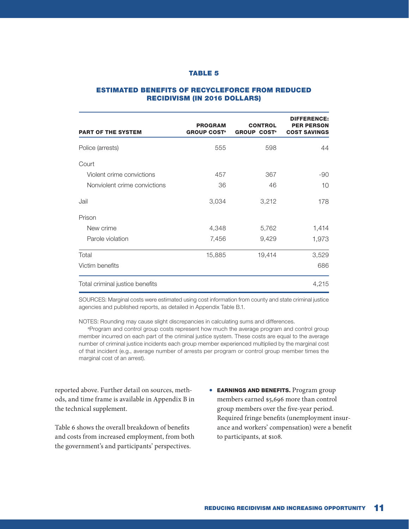#### ESTIMATED BENEFITS OF RECYCLEFORCE FROM REDUCED RECIDIVISM (IN 2016 DOLLARS)

| <b>PART OF THE SYSTEM</b>       | <b>PROGRAM</b><br><b>GROUP COST<sup>®</sup></b> | <b>CONTROL</b><br><b>GROUP COST<sup>®</sup></b> | <b>DIFFERENCE:</b><br><b>PER PERSON</b><br><b>COST SAVINGS</b> |
|---------------------------------|-------------------------------------------------|-------------------------------------------------|----------------------------------------------------------------|
| Police (arrests)                | 555                                             | 598                                             | 44                                                             |
| Court                           |                                                 |                                                 |                                                                |
| Violent crime convictions       | 457                                             | 367                                             | -90                                                            |
| Nonviolent crime convictions    | 36                                              | 46                                              | 10                                                             |
| Jail                            | 3,034                                           | 3,212                                           | 178                                                            |
| Prison                          |                                                 |                                                 |                                                                |
| New crime                       | 4,348                                           | 5,762                                           | 1,414                                                          |
| Parole violation                | 7,456                                           | 9,429                                           | 1,973                                                          |
| Total                           | 15,885                                          | 19,414                                          | 3,529                                                          |
| Victim benefits                 |                                                 |                                                 | 686                                                            |
| Total criminal justice benefits |                                                 |                                                 | 4,215                                                          |

SOURCES: Marginal costs were estimated using cost information from county and state criminal justice agencies and published reports, as detailed in Appendix Table B.1.

NOTES: Rounding may cause slight discrepancies in calculating sums and differences.

<sup>a</sup>Program and control group costs represent how much the average program and control group member incurred on each part of the criminal justice system. These costs are equal to the average number of criminal justice incidents each group member experienced multiplied by the marginal cost of that incident (e.g., average number of arrests per program or control group member times the marginal cost of an arrest).

reported above. Further detail on sources, methods, and time frame is available in Appendix B in the technical supplement.

Table 6 shows the overall breakdown of benefits and costs from increased employment, from both the government's and participants' perspectives.

• **EARNINGS AND BENEFITS.** Program group members earned \$5,696 more than control group members over the five-year period. Required fringe benefits (unemployment insurance and workers' compensation) were a benefit to participants, at \$108.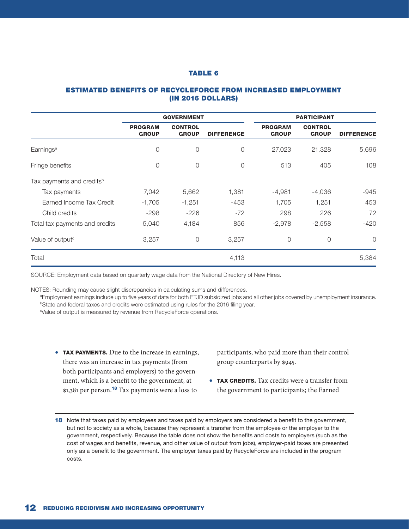#### ESTIMATED BENEFITS OF RECYCLEFORCE FROM INCREASED EMPLOYMENT (IN 2016 DOLLARS)

|                                       | <b>GOVERNMENT</b>              |                                |                   | <b>PARTICIPANT</b>             |                                |                   |
|---------------------------------------|--------------------------------|--------------------------------|-------------------|--------------------------------|--------------------------------|-------------------|
|                                       | <b>PROGRAM</b><br><b>GROUP</b> | <b>CONTROL</b><br><b>GROUP</b> | <b>DIFFERENCE</b> | <b>PROGRAM</b><br><b>GROUP</b> | <b>CONTROL</b><br><b>GROUP</b> | <b>DIFFERENCE</b> |
| Earnings <sup>a</sup>                 | $\overline{0}$                 | 0                              | $\overline{0}$    | 27,023                         | 21,328                         | 5,696             |
| Fringe benefits                       | $\overline{0}$                 | 0                              | $\overline{0}$    | 513                            | 405                            | 108               |
| Tax payments and credits <sup>b</sup> |                                |                                |                   |                                |                                |                   |
| Tax payments                          | 7,042                          | 5,662                          | 1,381             | $-4,981$                       | $-4,036$                       | $-945$            |
| Earned Income Tax Credit              | $-1,705$                       | $-1,251$                       | $-453$            | 1,705                          | 1,251                          | 453               |
| Child credits                         | $-298$                         | $-226$                         | $-72$             | 298                            | 226                            | 72                |
| Total tax payments and credits        | 5,040                          | 4,184                          | 856               | $-2,978$                       | $-2,558$                       | $-420$            |
| Value of output <sup>c</sup>          | 3,257                          | $\circ$                        | 3,257             | $\circ$                        | $\circ$                        | $\circ$           |
| Total                                 |                                |                                | 4,113             |                                |                                | 5,384             |

SOURCE: Employment data based on quarterly wage data from the National Directory of New Hires.

NOTES: Rounding may cause slight discrepancies in calculating sums and differences.

aEmployment earnings include up to five years of data for both ETJD subsidized jobs and all other jobs covered by unemployment insurance. **bState and federal taxes and credits were estimated using rules for the 2016 filing year.** 

c Value of output is measured by revenue from RecycleForce operations.

• TAX PAYMENTS. Due to the increase in earnings, there was an increase in tax payments (from both participants and employers) to the government, which is a benefit to the government, at \$1,381 per person.<sup>18</sup> Tax payments were a loss to

participants, who paid more than their control group counterparts by \$945.

- **TAX CREDITS.** Tax credits were a transfer from the government to participants; the Earned
- 18 Note that taxes paid by employees and taxes paid by employers are considered a benefit to the government, but not to society as a whole, because they represent a transfer from the employee or the employer to the government, respectively. Because the table does not show the benefits and costs to employers (such as the cost of wages and benefits, revenue, and other value of output from jobs), employer-paid taxes are presented only as a benefit to the government. The employer taxes paid by RecycleForce are included in the program costs.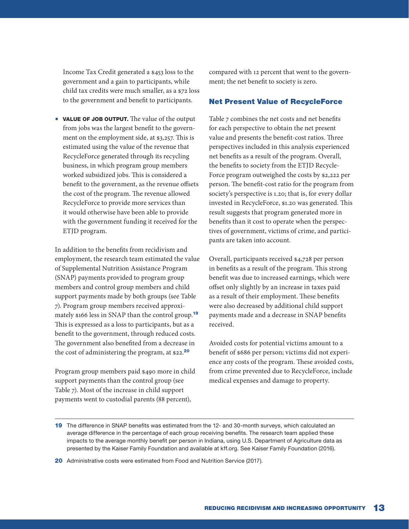Income Tax Credit generated a \$453 loss to the government and a gain to participants, while child tax credits were much smaller, as a \$72 loss to the government and benefit to participants.

• VALUE OF JOB OUTPUT. The value of the output from jobs was the largest benefit to the government on the employment side, at \$3,257. This is estimated using the value of the revenue that RecycleForce generated through its recycling business, in which program group members worked subsidized jobs. This is considered a benefit to the government, as the revenue offsets the cost of the program. The revenue allowed RecycleForce to provide more services than it would otherwise have been able to provide with the government funding it received for the ETJD program.

In addition to the benefits from recidivism and employment, the research team estimated the value of Supplemental Nutrition Assistance Program (SNAP) payments provided to program group members and control group members and child support payments made by both groups (see Table 7). Program group members received approximately \$166 less in SNAP than the control group.<sup>19</sup> This is expressed as a loss to participants, but as a benefit to the government, through reduced costs. The government also benefited from a decrease in the cost of administering the program, at \$22.20

Program group members paid \$490 more in child support payments than the control group (see Table 7). Most of the increase in child support payments went to custodial parents (88 percent),

compared with 12 percent that went to the government; the net benefit to society is zero.

#### Net Present Value of RecycleForce

Table 7 combines the net costs and net benefits for each perspective to obtain the net present value and presents the benefit-cost ratios. Three perspectives included in this analysis experienced net benefits as a result of the program. Overall, the benefits to society from the ETJD Recycle-Force program outweighed the costs by \$2,222 per person. The benefit-cost ratio for the program from society's perspective is 1.20; that is, for every dollar invested in RecycleForce, \$1.20 was generated. This result suggests that program generated more in benefits than it cost to operate when the perspectives of government, victims of crime, and participants are taken into account.

Overall, participants received \$4,728 per person in benefits as a result of the program. This strong benefit was due to increased earnings, which were offset only slightly by an increase in taxes paid as a result of their employment. These benefits were also decreased by additional child support payments made and a decrease in SNAP benefits received.

Avoided costs for potential victims amount to a benefit of \$686 per person; victims did not experience any costs of the program. These avoided costs, from crime prevented due to RecycleForce, include medical expenses and damage to property.

20 Administrative costs were estimated from Food and Nutrition Service (2017).

<sup>19</sup> The difference in SNAP benefits was estimated from the 12- and 30-month surveys, which calculated an average difference in the percentage of each group receiving benefits. The research team applied these impacts to the average monthly benefit per person in Indiana, using U.S. Department of Agriculture data as presented by the Kaiser Family Foundation and available at kff.org. See Kaiser Family Foundation (2016).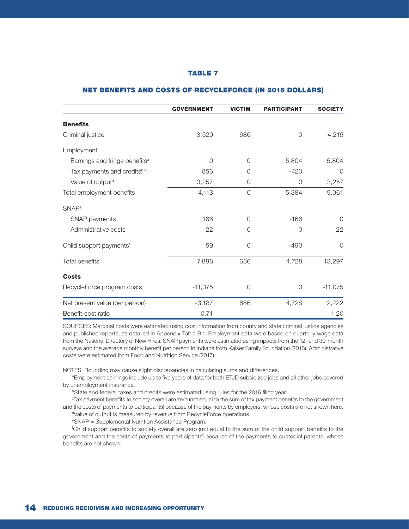|                                           | <b>GOVERNMENT</b> | <b>VICTIM</b> | <b>PARTICIPANT</b> | <b>SOCIETY</b> |
|-------------------------------------------|-------------------|---------------|--------------------|----------------|
| <b>Benefits</b>                           |                   |               |                    |                |
| Criminal justice                          | 3,529             | 686           | $\overline{0}$     | 4,215          |
| Employment                                |                   |               |                    |                |
| Earnings and fringe benefits <sup>a</sup> | $\Omega$          | $\Omega$      | 5,804              | 5,804          |
| Tax payments and creditsb,c               | 856               | $\Omega$      | $-420$             | $\Omega$       |
| Value of output <sup>d</sup>              | 3,257             | 0             | $\Omega$           | 3,257          |
| Total employment benefits                 | 4,113             | $\circ$       | 5,384              | 9,061          |
| <b>SNAP</b> <sup>e</sup>                  |                   |               |                    |                |
| SNAP payments                             | 166               | $\Omega$      | $-166$             | $\Omega$       |
| Administrative costs                      | 22                | $\Omega$      | $\Omega$           | 22             |
| Child support payments <sup>f</sup>       | 59                | 0             | $-490$             | $\Omega$       |
| Total benefits                            | 7,888             | 686           | 4,728              | 13,297         |
| <b>Costs</b>                              |                   |               |                    |                |
| RecycleForce program costs                | $-11,075$         | 0             | 0                  | $-11,075$      |
| Net present value (per person)            | $-3,187$          | 686           | 4,728              | 2,222          |
| Benefit-cost ratio                        | 0.71              |               |                    | 1.20           |

#### NET BENEFITS AND COSTS OF RECYCLEFORCE (IN 2016 DOLLARS)

SOURCES: Marginal costs were estimated using cost information from county and state criminal justice agencies and published reports, as detailed in Appendix Table B.1. Employment data were based on quarterly wage data from the National Directory of New Hires. SNAP payments were estimated using impacts from the 12- and 30-month surveys and the average monthly benefit per person in Indiana from Kaiser Family Foundation (2016). Administrative costs were estimated from Food and Nutrition Service (2017).

NOTES: Rounding may cause slight discrepancies in calculating sums and differences.

aEmployment earnings include up to five years of data for both ETJD subsidized jobs and all other jobs covered by unemployment insurance.<br><sup>b</sup>State and federal taxes and credits were estimated using rules for the 2016 filing year.

Tax payment benefits to society overall are zero (not equal to the sum of tax payment benefits to the government and the costs of payments to participants) because of the payments by employers, whose costs are not shown here. Value of output is measured by revenue from RecycleForce operations.

e SNAP = Supplemental Nutrition Assistance Program.

f Child support benefits to society overall are zero (not equal to the sum of the child support benefits to the government and the costs of payments to participants) because of the payments to custodial parents, whose benefits are not shown.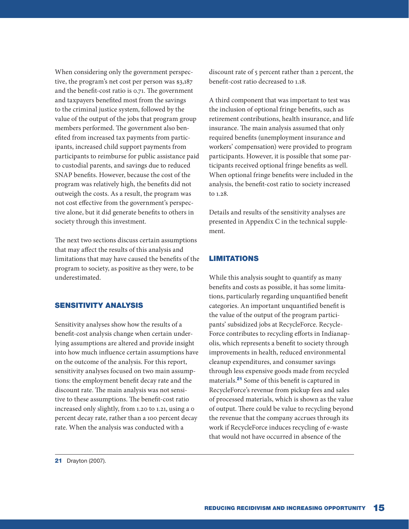When considering only the government perspective, the program's net cost per person was \$3,187 and the benefit-cost ratio is 0.71. The government and taxpayers benefited most from the savings to the criminal justice system, followed by the value of the output of the jobs that program group members performed. The government also benefited from increased tax payments from participants, increased child support payments from participants to reimburse for public assistance paid to custodial parents, and savings due to reduced SNAP benefits. However, because the cost of the program was relatively high, the benefits did not outweigh the costs. As a result, the program was not cost effective from the government's perspective alone, but it did generate benefits to others in society through this investment.

The next two sections discuss certain assumptions that may affect the results of this analysis and limitations that may have caused the benefits of the program to society, as positive as they were, to be underestimated.

#### SENSITIVITY ANALYSIS

Sensitivity analyses show how the results of a benefit-cost analysis change when certain underlying assumptions are altered and provide insight into how much influence certain assumptions have on the outcome of the analysis. For this report, sensitivity analyses focused on two main assumptions: the employment benefit decay rate and the discount rate. The main analysis was not sensitive to these assumptions. The benefit-cost ratio increased only slightly, from 1.20 to 1.21, using a 0 percent decay rate, rather than a 100 percent decay rate. When the analysis was conducted with a

discount rate of 5 percent rather than 2 percent, the benefit-cost ratio decreased to 1.18.

A third component that was important to test was the inclusion of optional fringe benefits, such as retirement contributions, health insurance, and life insurance. The main analysis assumed that only required benefits (unemployment insurance and workers' compensation) were provided to program participants. However, it is possible that some participants received optional fringe benefits as well. When optional fringe benefits were included in the analysis, the benefit-cost ratio to society increased to 1.28.

Details and results of the sensitivity analyses are presented in Appendix C in the technical supplement.

# LIMITATIONS

While this analysis sought to quantify as many benefits and costs as possible, it has some limitations, particularly regarding unquantified benefit categories. An important unquantified benefit is the value of the output of the program participants' subsidized jobs at RecycleForce. Recycle-Force contributes to recycling efforts in Indianapolis, which represents a benefit to society through improvements in health, reduced environmental cleanup expenditures, and consumer savings through less expensive goods made from recycled materials.<sup>21</sup> Some of this benefit is captured in RecycleForce's revenue from pickup fees and sales of processed materials, which is shown as the value of output. There could be value to recycling beyond the revenue that the company accrues through its work if RecycleForce induces recycling of e-waste that would not have occurred in absence of the

**21** Drayton (2007).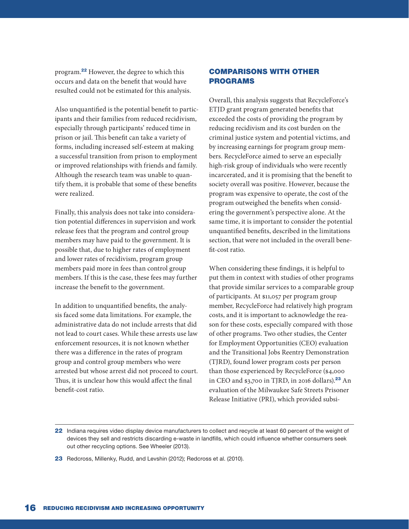program.<sup>22</sup> However, the degree to which this occurs and data on the benefit that would have resulted could not be estimated for this analysis.

Also unquantified is the potential benefit to participants and their families from reduced recidivism, especially through participants' reduced time in prison or jail. This benefit can take a variety of forms, including increased self-esteem at making a successful transition from prison to employment or improved relationships with friends and family. Although the research team was unable to quantify them, it is probable that some of these benefits were realized.

Finally, this analysis does not take into consideration potential differences in supervision and work release fees that the program and control group members may have paid to the government. It is possible that, due to higher rates of employment and lower rates of recidivism, program group members paid more in fees than control group members. If this is the case, these fees may further increase the benefit to the government.

In addition to unquantified benefits, the analysis faced some data limitations. For example, the administrative data do not include arrests that did not lead to court cases. While these arrests use law enforcement resources, it is not known whether there was a difference in the rates of program group and control group members who were arrested but whose arrest did not proceed to court. Thus, it is unclear how this would affect the final benefit-cost ratio.

# COMPARISONS WITH OTHER PROGRAMS

Overall, this analysis suggests that RecycleForce's ETJD grant program generated benefits that exceeded the costs of providing the program by reducing recidivism and its cost burden on the criminal justice system and potential victims, and by increasing earnings for program group members. RecycleForce aimed to serve an especially high-risk group of individuals who were recently incarcerated, and it is promising that the benefit to society overall was positive. However, because the program was expensive to operate, the cost of the program outweighed the benefits when considering the government's perspective alone. At the same time, it is important to consider the potential unquantified benefits, described in the limitations section, that were not included in the overall benefit-cost ratio.

When considering these findings, it is helpful to put them in context with studies of other programs that provide similar services to a comparable group of participants. At \$11,057 per program group member, RecycleForce had relatively high program costs, and it is important to acknowledge the reason for these costs, especially compared with those of other programs. Two other studies, the Center for Employment Opportunities (CEO) evaluation and the Transitional Jobs Reentry Demonstration (TJRD), found lower program costs per person than those experienced by RecycleForce (\$4,000 in CEO and \$3,700 in TJRD, in 2016 dollars).<sup>23</sup> An evaluation of the Milwaukee Safe Streets Prisoner Release Initiative (PRI), which provided subsi-

23 Redcross, Millenky, Rudd, and Levshin (2012); Redcross et al. (2010).

<sup>22</sup> Indiana requires video display device manufacturers to collect and recycle at least 60 percent of the weight of devices they sell and restricts discarding e-waste in landfills, which could influence whether consumers seek out other recycling options. See Wheeler (2013).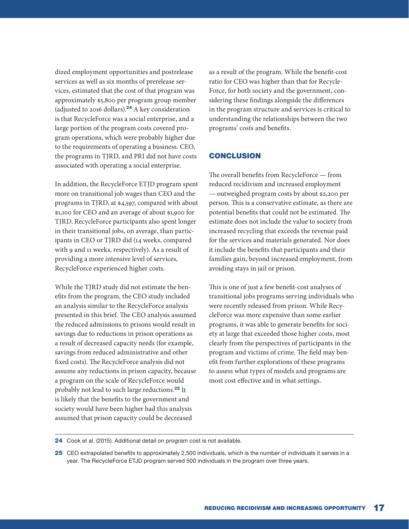dized employment opportunities and postrelease services as well as six months of prerelease services, estimated that the cost of that program was approximately \$5,800 per program group member (adjusted to 2016 dollars).<sup>24</sup> A key consideration is that RecycleForce was a social enterprise, and a large portion of the program costs covered program operations, which were probably higher due to the requirements of operating a business. CEO, the programs in TJRD, and PRI did not have costs associated with operating a social enterprise.

In addition, the RecycleForce ETJD program spent more on transitional job wages than CEO and the programs in TJRD, at \$4,597, compared with about \$1,100 for CEO and an average of about \$1,900 for TJRD. RecycleForce participants also spent longer in their transitional jobs, on average, than participants in CEO or TJRD did (14 weeks, compared with 9 and 11 weeks, respectively). As a result of providing a more intensive level of services, RecycleForce experienced higher costs.

While the TJRD study did not estimate the benefits from the program, the CEO study included an analysis similar to the RecycleForce analysis presented in this brief. The CEO analysis assumed the reduced admissions to prisons would result in savings due to reductions in prison operations as a result of decreased capacity needs (for example, savings from reduced administrative and other fixed costs). The RecycleForce analysis did not assume any reductions in prison capacity, because a program on the scale of RecycleForce would probably not lead to such large reductions.<sup>25</sup> It is likely that the benefits to the government and society would have been higher had this analysis assumed that prison capacity could be decreased

as a result of the program. While the benefit-cost ratio for CEO was higher than that for Recycle-Force, for both society and the government, considering these findings alongside the differences in the program structure and services is critical to understanding the relationships between the two programs' costs and benefits.

# **CONCLUSION**

The overall benefits from RecycleForce — from reduced recidivism and increased employment — outweighed program costs by about \$2,200 per person. This is a conservative estimate, as there are potential benefits that could not be estimated. The estimate does not include the value to society from increased recycling that exceeds the revenue paid for the services and materials generated. Nor does it include the benefits that participants and their families gain, beyond increased employment, from avoiding stays in jail or prison.

This is one of just a few benefit-cost analyses of transitional jobs programs serving individuals who were recently released from prison. While RecycleForce was more expensive than some earlier programs, it was able to generate benefits for society at large that exceeded those higher costs, most clearly from the perspectives of participants in the program and victims of crime. The field may benefit from further explorations of these programs to assess what types of models and programs are most cost effective and in what settings.

24 Cook et al. (2015). Additional detail on program cost is not available.

25 CEO extrapolated benefits to approximately 2,500 individuals, which is the number of individuals it serves in a year. The RecycleForce ETJD program served 500 individuals in the program over three years.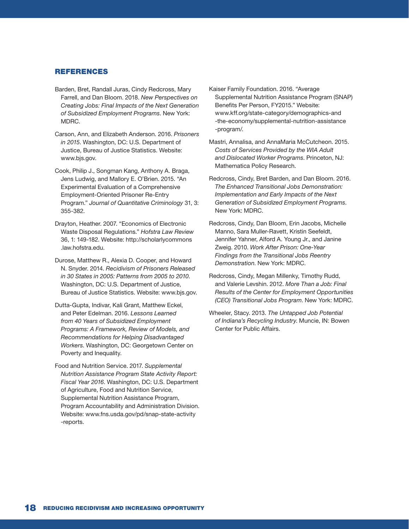#### REFERENCES

- Barden, Bret, Randall Juras, Cindy Redcross, Mary Farrell, and Dan Bloom. 2018. *New Perspectives on Creating Jobs: Final Impacts of the Next Generation of Subsidized Employment Programs*. New York: MDRC.
- Carson, Ann, and Elizabeth Anderson. 2016. *Prisoners in 2015*. Washington, DC: U.S. Department of Justice, Bureau of Justice Statistics. Website: www.bjs.gov.
- Cook, Philip J., Songman Kang, Anthony A. Braga, Jens Ludwig, and Mallory E. O'Brien. 2015. "An Experimental Evaluation of a Comprehensive Employment-Oriented Prisoner Re-Entry Program." *Journal of Quantitative Criminology* 31, 3: 355-382.
- Drayton, Heather. 2007. "Economics of Electronic Waste Disposal Regulations." *Hofstra Law Review* 36, 1: 149-182. Website: http://scholarlycommons .law.hofstra.edu.
- Durose, Matthew R., Alexia D. Cooper, and Howard N. Snyder. 2014. *Recidivism of Prisoners Released in 30 States in 2005: Patterns from 2005 to 2010*. Washington, DC: U.S. Department of Justice, Bureau of Justice Statistics. Website: www.bjs.gov.
- Dutta-Gupta, Indivar, Kali Grant, Matthew Eckel, and Peter Edelman. 2016. *Lessons Learned from 40 Years of Subsidized Employment Programs: A Framework, Review of Models, and Recommendations for Helping Disadvantaged Workers*. Washington, DC: Georgetown Center on Poverty and Inequality.
- Food and Nutrition Service. 2017. *Supplemental Nutrition Assistance Program State Activity Report: Fiscal Year 2016*. Washington, DC: U.S. Department of Agriculture, Food and Nutrition Service, Supplemental Nutrition Assistance Program, Program Accountability and Administration Division. Website: www.fns.usda.gov/pd/snap-state-activity -reports.
- Kaiser Family Foundation. 2016. "Average Supplemental Nutrition Assistance Program (SNAP) Benefits Per Person, FY2015." Website: www.kff.org/state-category/demographics-and -the-economy/supplemental-nutrition-assistance -program/.
- Mastri, Annalisa, and AnnaMaria McCutcheon. 2015. *Costs of Services Provided by the WIA Adult and Dislocated Worker Programs*. Princeton, NJ: Mathematica Policy Research.
- Redcross, Cindy, Bret Barden, and Dan Bloom. 2016. *The Enhanced Transitional Jobs Demonstration: Implementation and Early Impacts of the Next Generation of Subsidized Employment Programs*. New York: MDRC.
- Redcross, Cindy, Dan Bloom, Erin Jacobs, Michelle Manno, Sara Muller-Ravett, Kristin Seefeldt, Jennifer Yahner, Alford A. Young Jr., and Janine Zweig. 2010. *Work After Prison: One-Year Findings from the Transitional Jobs Reentry Demonstration*. New York: MDRC.
- Redcross, Cindy, Megan Millenky, Timothy Rudd, and Valerie Levshin. 2012. *More Than a Job: Final Results of the Center for Employment Opportunities (CEO) Transitional Jobs Program*. New York: MDRC.
- Wheeler, Stacy. 2013. *The Untapped Job Potential of Indiana's Recycling Industry*. Muncie, IN: Bowen Center for Public Affairs.